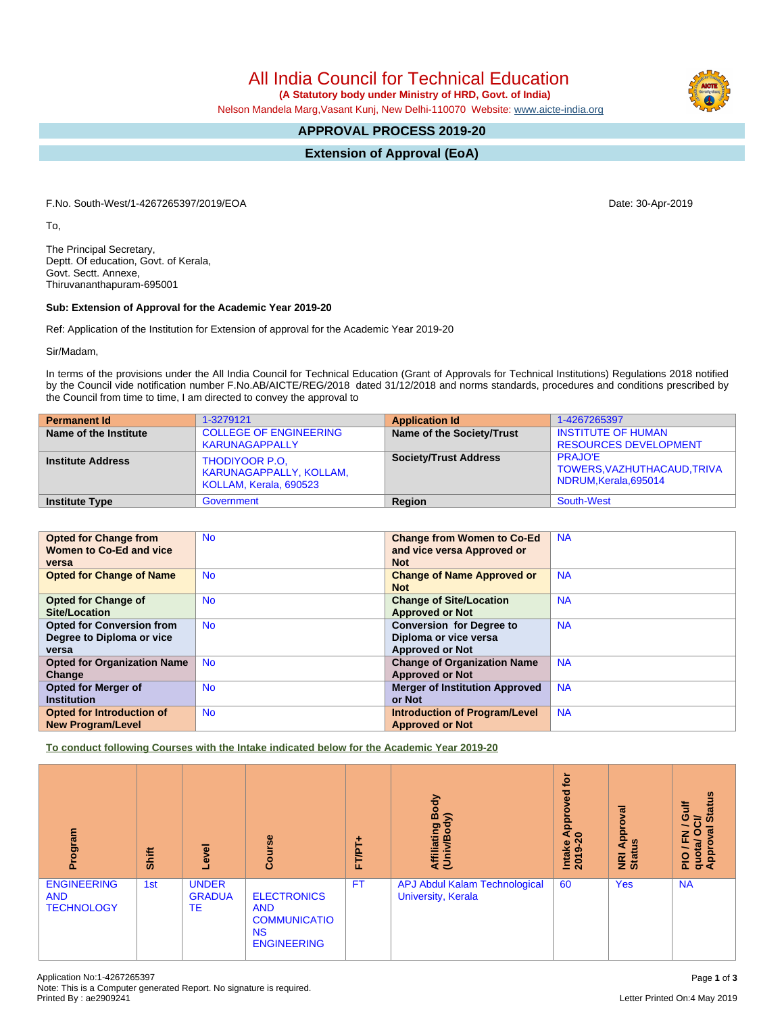All India Council for Technical Education

 **(A Statutory body under Ministry of HRD, Govt. of India)**

Nelson Mandela Marg,Vasant Kunj, New Delhi-110070 Website: [www.aicte-india.org](http://www.aicte-india.org)

# **APPROVAL PROCESS 2019-20**

**Extension of Approval (EoA)**

F.No. South-West/1-4267265397/2019/EOA Date: 30-Apr-2019

To,

The Principal Secretary, Deptt. Of education, Govt. of Kerala, Govt. Sectt. Annexe, Thiruvananthapuram-695001

#### **Sub: Extension of Approval for the Academic Year 2019-20**

Ref: Application of the Institution for Extension of approval for the Academic Year 2019-20

Sir/Madam,

In terms of the provisions under the All India Council for Technical Education (Grant of Approvals for Technical Institutions) Regulations 2018 notified by the Council vide notification number F.No.AB/AICTE/REG/2018 dated 31/12/2018 and norms standards, procedures and conditions prescribed by the Council from time to time, I am directed to convey the approval to

| <b>Permanent Id</b>      | 1-3279121                                                           | <b>Application Id</b>        | 1-4267265397                                                           |
|--------------------------|---------------------------------------------------------------------|------------------------------|------------------------------------------------------------------------|
| Name of the Institute    | <b>COLLEGE OF ENGINEERING</b><br><b>KARUNAGAPPALLY</b>              | Name of the Society/Trust    | <b>INSTITUTE OF HUMAN</b><br><b>RESOURCES DEVELOPMENT</b>              |
| <b>Institute Address</b> | THODIYOOR P.O.<br>KARUNAGAPPALLY, KOLLAM,<br>KOLLAM, Kerala, 690523 | <b>Society/Trust Address</b> | <b>PRAJO'E</b><br>TOWERS, VAZHUTHACAUD, TRIVA<br>NDRUM, Kerala, 695014 |
| <b>Institute Type</b>    | Government                                                          | Region                       | South-West                                                             |

| <b>Opted for Change from</b><br>Women to Co-Ed and vice<br>versa       | <b>No</b> | <b>Change from Women to Co-Ed</b><br>and vice versa Approved or<br><b>Not</b>      | <b>NA</b> |
|------------------------------------------------------------------------|-----------|------------------------------------------------------------------------------------|-----------|
| <b>Opted for Change of Name</b>                                        | <b>No</b> | <b>Change of Name Approved or</b><br><b>Not</b>                                    | <b>NA</b> |
| <b>Opted for Change of</b><br>Site/Location                            | <b>No</b> | <b>Change of Site/Location</b><br><b>Approved or Not</b>                           | <b>NA</b> |
| <b>Opted for Conversion from</b><br>Degree to Diploma or vice<br>versa | <b>No</b> | <b>Conversion for Degree to</b><br>Diploma or vice versa<br><b>Approved or Not</b> | <b>NA</b> |
| <b>Opted for Organization Name</b><br>Change                           | <b>No</b> | <b>Change of Organization Name</b><br><b>Approved or Not</b>                       | <b>NA</b> |
| <b>Opted for Merger of</b><br><b>Institution</b>                       | <b>No</b> | <b>Merger of Institution Approved</b><br>or Not                                    | <b>NA</b> |
| Opted for Introduction of<br><b>New Program/Level</b>                  | <b>No</b> | <b>Introduction of Program/Level</b><br><b>Approved or Not</b>                     | <b>NA</b> |

**To conduct following Courses with the Intake indicated below for the Academic Year 2019-20**

| Program                                               | <b>Shift</b> | Level                                      | Course                                                                                     | FT/PT+    | Body<br>$\widehat{\phantom{a}}$<br>Affiliating<br>(Univ/Body | ίō<br>್ಠಾ<br>۰<br>ă<br>⋖<br>$\circ$<br>Intake<br>2019-2 | ह<br>g<br>Appr<br><u>g</u><br>NRI<br>Statu | <b>Status</b><br><b>Jir</b><br>ಕ<br>∽<br>$\overline{3}$<br>준<br>O<br>quota/<br>Approv<br>$rac{Q}{R}$ |
|-------------------------------------------------------|--------------|--------------------------------------------|--------------------------------------------------------------------------------------------|-----------|--------------------------------------------------------------|---------------------------------------------------------|--------------------------------------------|------------------------------------------------------------------------------------------------------|
| <b>ENGINEERING</b><br><b>AND</b><br><b>TECHNOLOGY</b> | 1st          | <b>UNDER</b><br><b>GRADUA</b><br><b>TE</b> | <b>ELECTRONICS</b><br><b>AND</b><br><b>COMMUNICATIO</b><br><b>NS</b><br><b>ENGINEERING</b> | <b>FT</b> | <b>APJ Abdul Kalam Technological</b><br>University, Kerala   | 60                                                      | <b>Yes</b>                                 | <b>NA</b>                                                                                            |

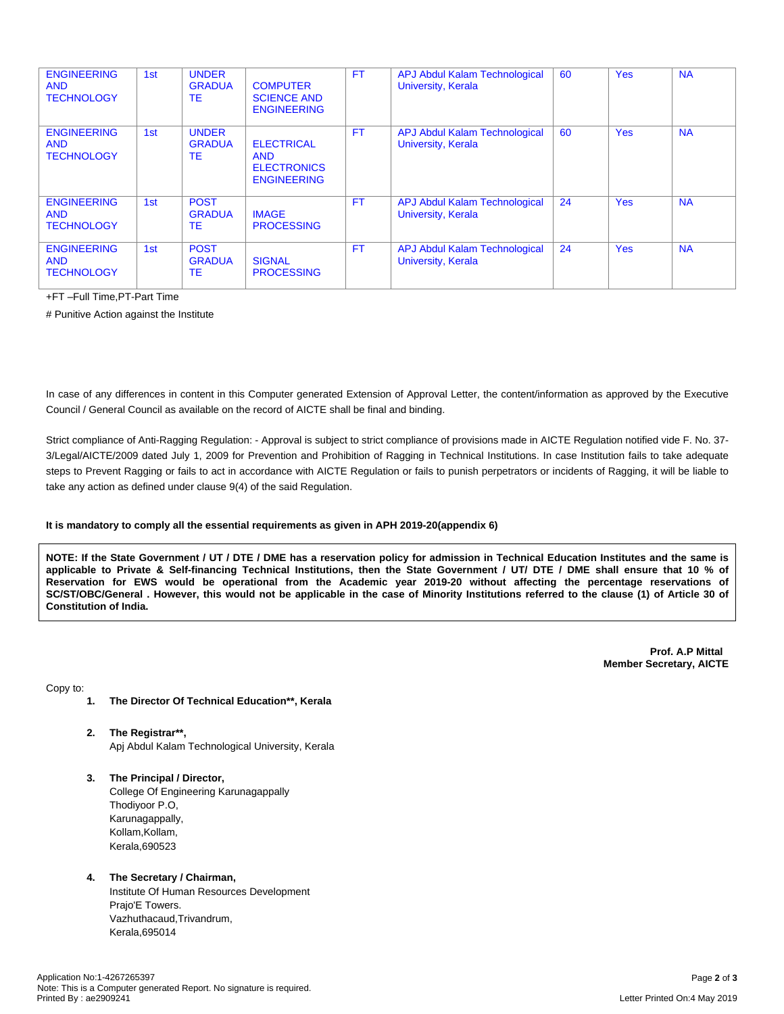| <b>ENGINEERING</b><br><b>AND</b><br><b>TECHNOLOGY</b> | 1st | <b>UNDER</b><br><b>GRADUA</b><br>ТE       | <b>COMPUTER</b><br><b>SCIENCE AND</b><br><b>ENGINEERING</b>                 | FT.       | <b>APJ Abdul Kalam Technological</b><br>University, Kerala | 60 | <b>Yes</b> | <b>NA</b> |
|-------------------------------------------------------|-----|-------------------------------------------|-----------------------------------------------------------------------------|-----------|------------------------------------------------------------|----|------------|-----------|
| <b>ENGINEERING</b><br><b>AND</b><br><b>TECHNOLOGY</b> | 1st | <b>UNDER</b><br><b>GRADUA</b><br>TE       | <b>ELECTRICAL</b><br><b>AND</b><br><b>ELECTRONICS</b><br><b>ENGINEERING</b> | <b>FT</b> | <b>APJ Abdul Kalam Technological</b><br>University, Kerala | 60 | <b>Yes</b> | <b>NA</b> |
| <b>ENGINEERING</b><br><b>AND</b><br><b>TECHNOLOGY</b> | 1st | <b>POST</b><br><b>GRADUA</b><br>TE        | <b>IMAGE</b><br><b>PROCESSING</b>                                           | <b>FT</b> | <b>APJ Abdul Kalam Technological</b><br>University, Kerala | 24 | <b>Yes</b> | <b>NA</b> |
| <b>ENGINEERING</b><br><b>AND</b><br><b>TECHNOLOGY</b> | 1st | <b>POST</b><br><b>GRADUA</b><br><b>TE</b> | <b>SIGNAL</b><br><b>PROCESSING</b>                                          | <b>FT</b> | <b>APJ Abdul Kalam Technological</b><br>University, Kerala | 24 | <b>Yes</b> | <b>NA</b> |

+FT –Full Time,PT-Part Time

# Punitive Action against the Institute

In case of any differences in content in this Computer generated Extension of Approval Letter, the content/information as approved by the Executive Council / General Council as available on the record of AICTE shall be final and binding.

Strict compliance of Anti-Ragging Regulation: - Approval is subject to strict compliance of provisions made in AICTE Regulation notified vide F. No. 37- 3/Legal/AICTE/2009 dated July 1, 2009 for Prevention and Prohibition of Ragging in Technical Institutions. In case Institution fails to take adequate steps to Prevent Ragging or fails to act in accordance with AICTE Regulation or fails to punish perpetrators or incidents of Ragging, it will be liable to take any action as defined under clause 9(4) of the said Regulation.

### **It is mandatory to comply all the essential requirements as given in APH 2019-20(appendix 6)**

NOTE: If the State Government / UT / DTE / DME has a reservation policy for admission in Technical Education Institutes and the same is applicable to Private & Self-financing Technical Institutions, then the State Government / UT/ DTE / DME shall ensure that 10 % of Reservation for EWS would be operational from the Academic year 2019-20 without affecting the percentage reservations of SC/ST/OBC/General . However, this would not be applicable in the case of Minority Institutions referred to the clause (1) of Article 30 of **Constitution of India.**

> **Prof. A.P Mittal Member Secretary, AICTE**

Copy to:

- **1. The Director Of Technical Education\*\*, Kerala**
- **2. The Registrar\*\*,** Apj Abdul Kalam Technological University, Kerala
- **3. The Principal / Director,** College Of Engineering Karunagappally Thodiyoor P.O, Karunagappally, Kollam, Kollam, Kerala,690523

### **4. The Secretary / Chairman,**

Institute Of Human Resources Development Prajo'E Towers. Vazhuthacaud,Trivandrum, Kerala,695014